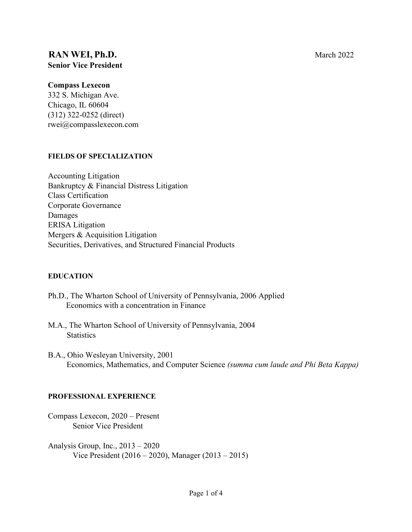# **RAN WEI, Ph.D.** March 2022 **Senior Vice President**

#### **Compass Lexecon**

332 S. Michigan Ave. Chicago, IL 60604 (312) 322-0252 (direct) rwei@compasslexecon.com

#### **FIELDS OF SPECIALIZATION**

Accounting Litigation Bankruptcy & Financial Distress Litigation Class Certification Corporate Governance Damages ERISA Litigation Mergers & Acquisition Litigation Securities, Derivatives, and Structured Financial Products

#### **EDUCATION**

- Ph.D., The Wharton School of University of Pennsylvania, 2006 Applied Economics with a concentration in Finance
- M.A., The Wharton School of University of Pennsylvania, 2004 **Statistics**
- B.A., Ohio Wesleyan University, 2001 Economics, Mathematics, and Computer Science *(summa cum laude and Phi Beta Kappa)*

#### **PROFESSIONAL EXPERIENCE**

Compass Lexecon, 2020 – Present Senior Vice President

Analysis Group, Inc., 2013 – 2020 Vice President (2016 – 2020), Manager (2013 – 2015)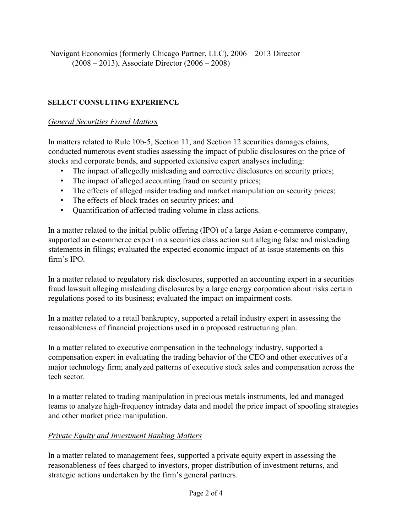Navigant Economics (formerly Chicago Partner, LLC), 2006 – 2013 Director (2008 – 2013), Associate Director (2006 – 2008)

## **SELECT CONSULTING EXPERIENCE**

#### *General Securities Fraud Matters*

In matters related to Rule 10b-5, Section 11, and Section 12 securities damages claims, conducted numerous event studies assessing the impact of public disclosures on the price of stocks and corporate bonds, and supported extensive expert analyses including:

- The impact of allegedly misleading and corrective disclosures on security prices;
- The impact of alleged accounting fraud on security prices;
- The effects of alleged insider trading and market manipulation on security prices;
- The effects of block trades on security prices; and
- Quantification of affected trading volume in class actions.

In a matter related to the initial public offering (IPO) of a large Asian e-commerce company, supported an e-commerce expert in a securities class action suit alleging false and misleading statements in filings; evaluated the expected economic impact of at-issue statements on this firm's IPO.

In a matter related to regulatory risk disclosures, supported an accounting expert in a securities fraud lawsuit alleging misleading disclosures by a large energy corporation about risks certain regulations posed to its business; evaluated the impact on impairment costs.

In a matter related to a retail bankruptcy, supported a retail industry expert in assessing the reasonableness of financial projections used in a proposed restructuring plan.

In a matter related to executive compensation in the technology industry, supported a compensation expert in evaluating the trading behavior of the CEO and other executives of a major technology firm; analyzed patterns of executive stock sales and compensation across the tech sector.

In a matter related to trading manipulation in precious metals instruments, led and managed teams to analyze high-frequency intraday data and model the price impact of spoofing strategies and other market price manipulation.

## *Private Equity and Investment Banking Matters*

In a matter related to management fees, supported a private equity expert in assessing the reasonableness of fees charged to investors, proper distribution of investment returns, and strategic actions undertaken by the firm's general partners.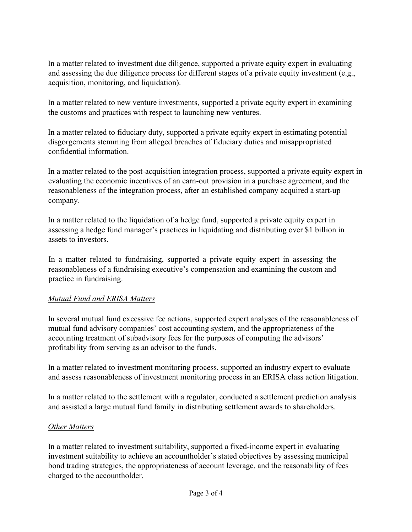In a matter related to investment due diligence, supported a private equity expert in evaluating and assessing the due diligence process for different stages of a private equity investment (e.g., acquisition, monitoring, and liquidation).

In a matter related to new venture investments, supported a private equity expert in examining the customs and practices with respect to launching new ventures.

In a matter related to fiduciary duty, supported a private equity expert in estimating potential disgorgements stemming from alleged breaches of fiduciary duties and misappropriated confidential information.

In a matter related to the post-acquisition integration process, supported a private equity expert in evaluating the economic incentives of an earn-out provision in a purchase agreement, and the reasonableness of the integration process, after an established company acquired a start-up company.

In a matter related to the liquidation of a hedge fund, supported a private equity expert in assessing a hedge fund manager's practices in liquidating and distributing over \$1 billion in assets to investors.

In a matter related to fundraising, supported a private equity expert in assessing the reasonableness of a fundraising executive's compensation and examining the custom and practice in fundraising.

## *Mutual Fund and ERISA Matters*

In several mutual fund excessive fee actions, supported expert analyses of the reasonableness of mutual fund advisory companies' cost accounting system, and the appropriateness of the accounting treatment of subadvisory fees for the purposes of computing the advisors' profitability from serving as an advisor to the funds.

In a matter related to investment monitoring process, supported an industry expert to evaluate and assess reasonableness of investment monitoring process in an ERISA class action litigation.

In a matter related to the settlement with a regulator, conducted a settlement prediction analysis and assisted a large mutual fund family in distributing settlement awards to shareholders.

## *Other Matters*

In a matter related to investment suitability, supported a fixed-income expert in evaluating investment suitability to achieve an accountholder's stated objectives by assessing municipal bond trading strategies, the appropriateness of account leverage, and the reasonability of fees charged to the accountholder.